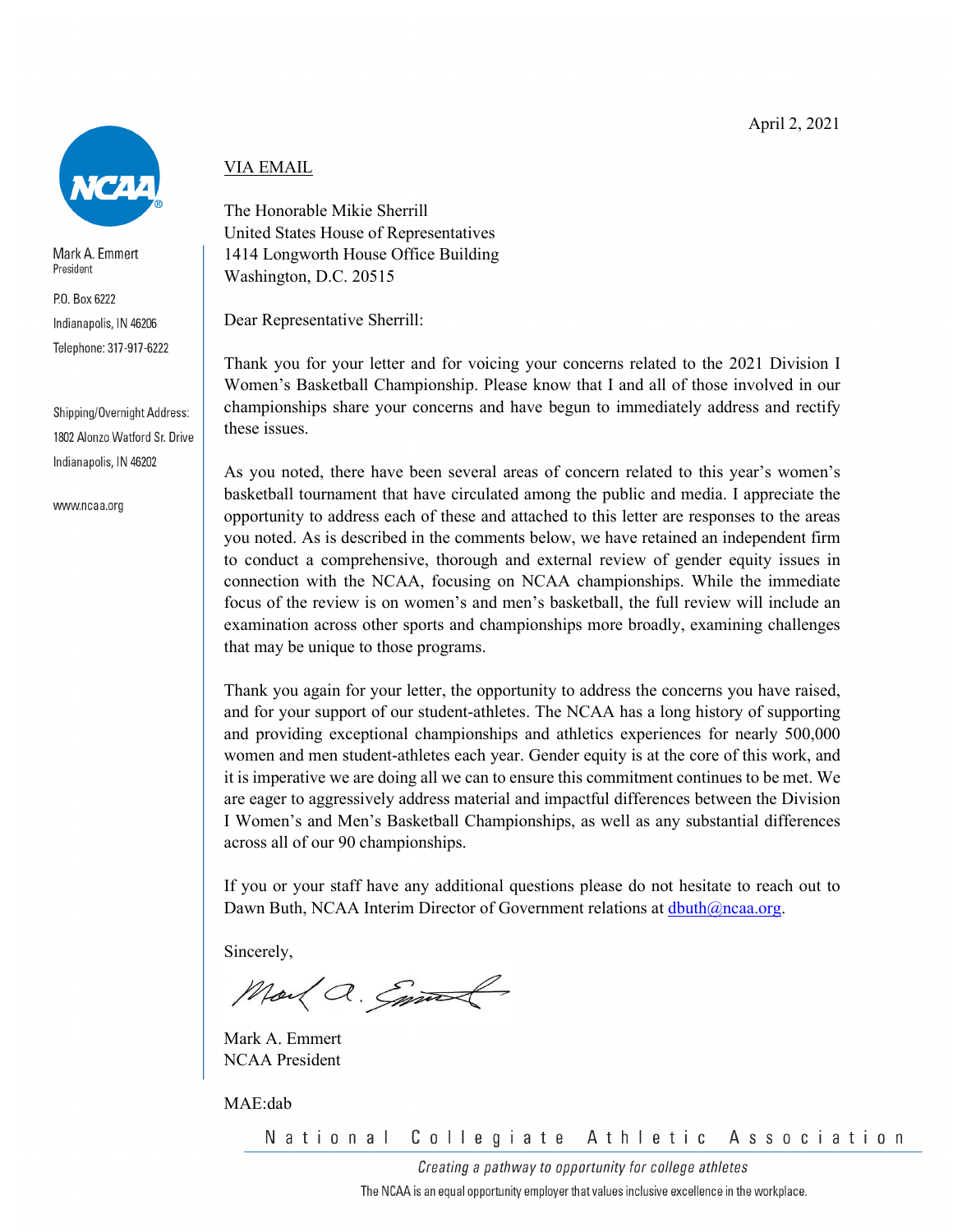

Mark A. Emmert President

P.O. Box 6222 Indianapolis, IN 46206 Telephone: 317-917-6222

Shipping/Overnight Address: 1802 Alonzo Watford Sr. Drive Indianapolis, IN 46202

www.ncaa.org

# VIA EMAIL

The Honorable Mikie Sherrill United States House of Representatives 1414 Longworth House Office Building Washington, D.C. 20515

Dear Representative Sherrill:

Thank you for your letter and for voicing your concerns related to the 2021 Division I Women's Basketball Championship. Please know that I and all of those involved in our championships share your concerns and have begun to immediately address and rectify these issues.

As you noted, there have been several areas of concern related to this year's women's basketball tournament that have circulated among the public and media. I appreciate the opportunity to address each of these and attached to this letter are responses to the areas you noted. As is described in the comments below, we have retained an independent firm to conduct a comprehensive, thorough and external review of gender equity issues in connection with the NCAA, focusing on NCAA championships. While the immediate focus of the review is on women's and men's basketball, the full review will include an examination across other sports and championships more broadly, examining challenges that may be unique to those programs.

Thank you again for your letter, the opportunity to address the concerns you have raised, and for your support of our student-athletes. The NCAA has a long history of supporting and providing exceptional championships and athletics experiences for nearly 500,000 women and men student-athletes each year. Gender equity is at the core of this work, and it is imperative we are doing all we can to ensure this commitment continues to be met. We are eager to aggressively address material and impactful differences between the Division I Women's and Men's Basketball Championships, as well as any substantial differences across all of our 90 championships.

If you or your staff have any additional questions please do not hesitate to reach out to Dawn Buth, NCAA Interim Director of Government relations at  $dbuth@nca.org$ .

Sincerely,

Mail a. Emmal

Mark A. Emmert NCAA President

MAE:dab

National Collegiate Athletic Association

> Creating a pathway to opportunity for college athletes The NCAA is an equal opportunity employer that values inclusive excellence in the workplace.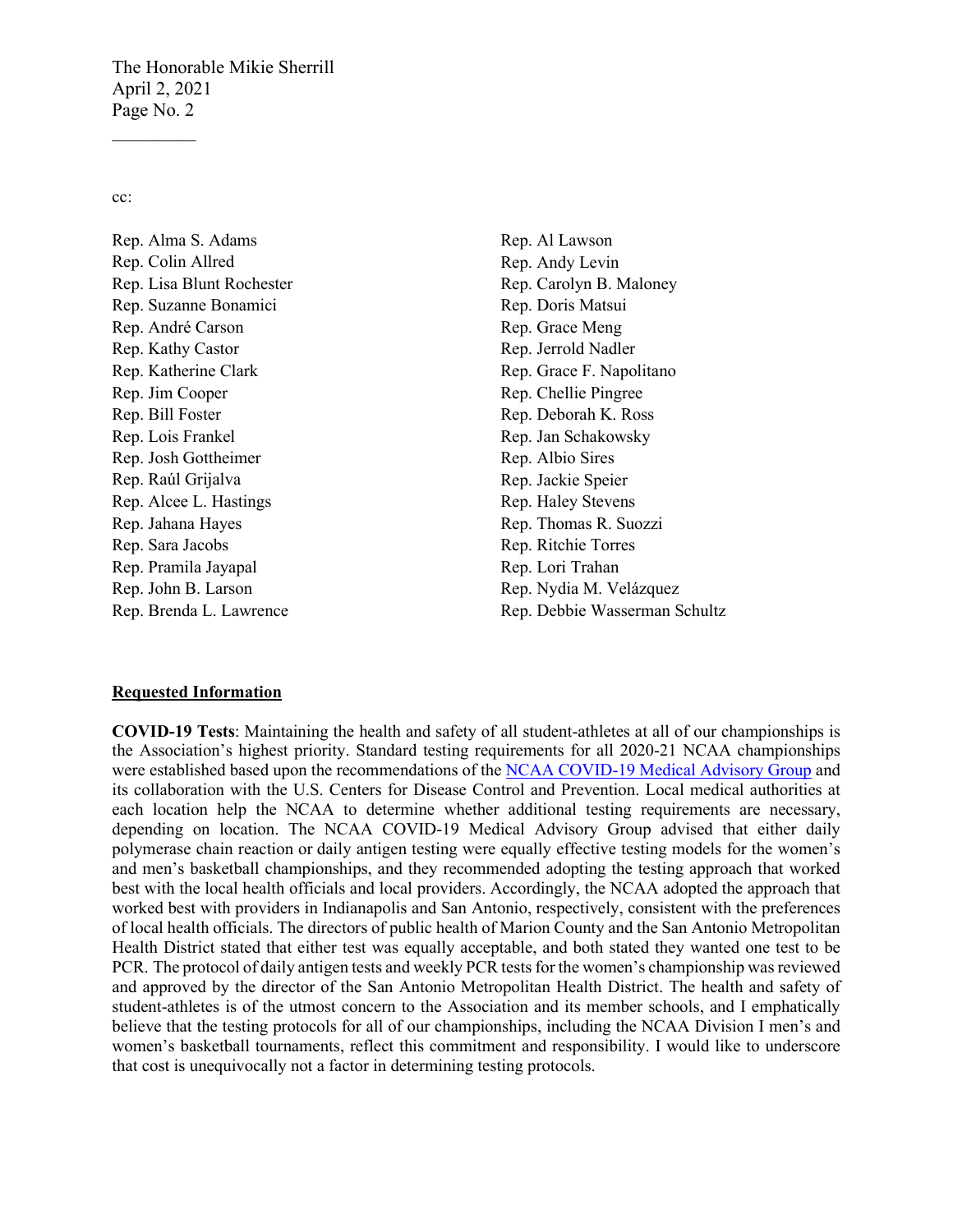The Honorable Mikie Sherrill April 2, 2021 Page No. 2

cc:

 $\mathcal{L}_\text{max}$ 

Rep. Alma S. Adams Rep. Colin Allred Rep. Lisa Blunt Rochester Rep. Suzanne Bonamici Rep. André Carson Rep. Kathy Castor Rep. Katherine Clark Rep. Jim Cooper Rep. Bill Foster Rep. Lois Frankel Rep. Josh Gottheimer Rep. Raúl Grijalva Rep. Alcee L. Hastings Rep. Jahana Hayes Rep. Sara Jacobs Rep. Pramila Jayapal Rep. John B. Larson Rep. Brenda L. Lawrence

Rep. Al Lawson Rep. Andy Levin Rep. Carolyn B. Maloney Rep. Doris Matsui Rep. Grace Meng Rep. Jerrold Nadler Rep. Grace F. Napolitano Rep. Chellie Pingree Rep. Deborah K. Ross Rep. Jan Schakowsky Rep. Albio Sires Rep. Jackie Speier Rep. Haley Stevens Rep. Thomas R. Suozzi Rep. Ritchie Torres Rep. Lori Trahan Rep. Nydia M. Velázquez Rep. Debbie Wasserman Schultz

#### **Requested Information**

**COVID-19 Tests**: Maintaining the health and safety of all student-athletes at all of our championships is the Association's highest priority. Standard testing requirements for all 2020-21 NCAA championships were established based upon the recommendations of the [NCAA COVID-19 Medical Advisory Group](https://www.ncaa.org/sport-science-institute/covid-19-medical-advisory-group#:%7E:text=The%20NCAA%20COVID%2D19%20Medical,advisory%20panel%20and%20NCAA%20membership.) and its collaboration with the U.S. Centers for Disease Control and Prevention. Local medical authorities at each location help the NCAA to determine whether additional testing requirements are necessary, depending on location. The NCAA COVID-19 Medical Advisory Group advised that either daily polymerase chain reaction or daily antigen testing were equally effective testing models for the women's and men's basketball championships, and they recommended adopting the testing approach that worked best with the local health officials and local providers. Accordingly, the NCAA adopted the approach that worked best with providers in Indianapolis and San Antonio, respectively, consistent with the preferences of local health officials. The directors of public health of Marion County and the San Antonio Metropolitan Health District stated that either test was equally acceptable, and both stated they wanted one test to be PCR. The protocol of daily antigen tests and weekly PCR tests for the women's championship was reviewed and approved by the director of the San Antonio Metropolitan Health District. The health and safety of student-athletes is of the utmost concern to the Association and its member schools, and I emphatically believe that the testing protocols for all of our championships, including the NCAA Division I men's and women's basketball tournaments, reflect this commitment and responsibility. I would like to underscore that cost is unequivocally not a factor in determining testing protocols.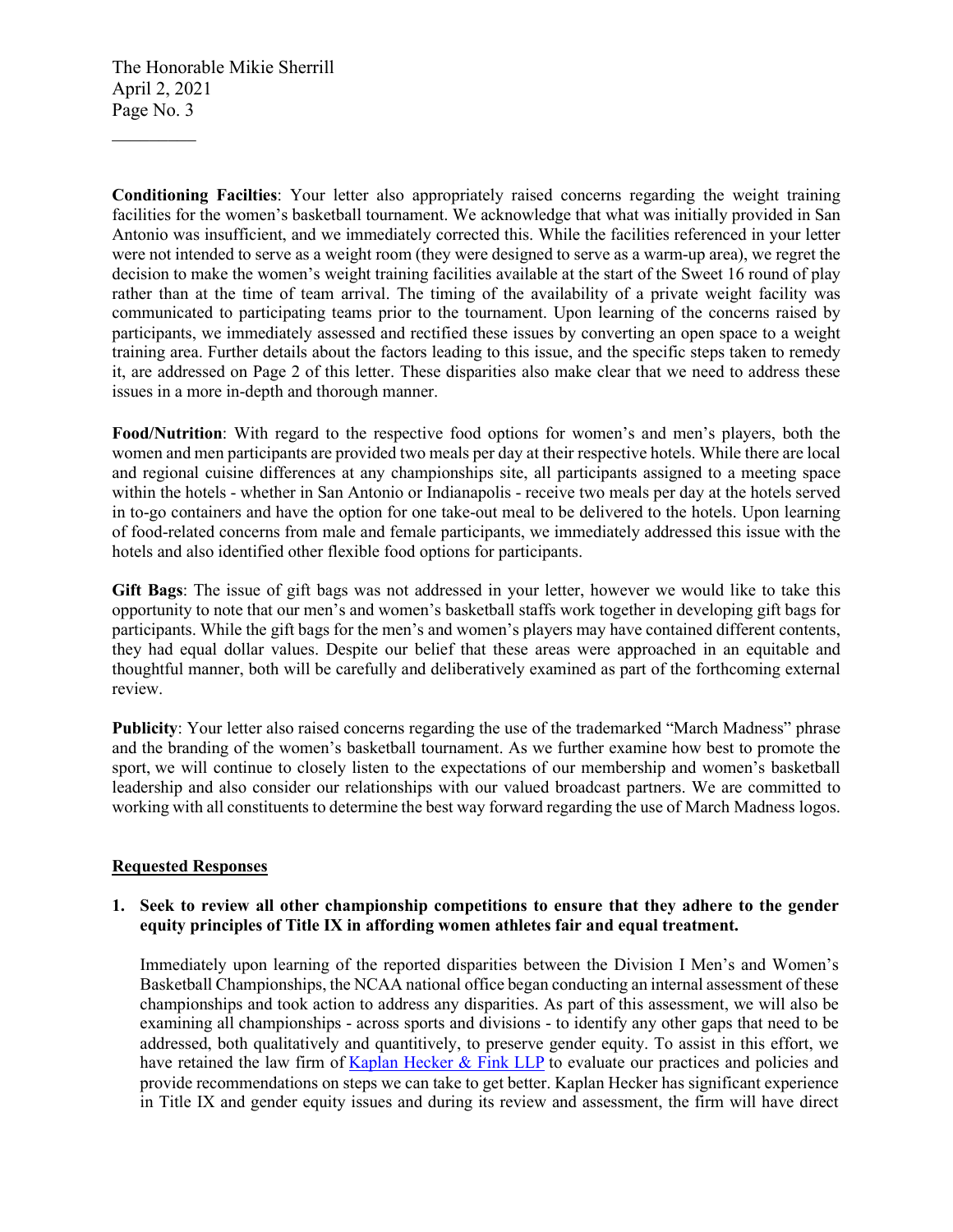The Honorable Mikie Sherrill April 2, 2021 Page No. 3

 $\mathcal{L}_\text{max}$ 

**Conditioning Facilties**: Your letter also appropriately raised concerns regarding the weight training facilities for the women's basketball tournament. We acknowledge that what was initially provided in San Antonio was insufficient, and we immediately corrected this. While the facilities referenced in your letter were not intended to serve as a weight room (they were designed to serve as a warm-up area), we regret the decision to make the women's weight training facilities available at the start of the Sweet 16 round of play rather than at the time of team arrival. The timing of the availability of a private weight facility was communicated to participating teams prior to the tournament. Upon learning of the concerns raised by participants, we immediately assessed and rectified these issues by converting an open space to a weight training area. Further details about the factors leading to this issue, and the specific steps taken to remedy it, are addressed on Page 2 of this letter. These disparities also make clear that we need to address these issues in a more in-depth and thorough manner.

**Food/Nutrition**: With regard to the respective food options for women's and men's players, both the women and men participants are provided two meals per day at their respective hotels. While there are local and regional cuisine differences at any championships site, all participants assigned to a meeting space within the hotels - whether in San Antonio or Indianapolis - receive two meals per day at the hotels served in to-go containers and have the option for one take-out meal to be delivered to the hotels. Upon learning of food-related concerns from male and female participants, we immediately addressed this issue with the hotels and also identified other flexible food options for participants.

**Gift Bags**: The issue of gift bags was not addressed in your letter, however we would like to take this opportunity to note that our men's and women's basketball staffs work together in developing gift bags for participants. While the gift bags for the men's and women's players may have contained different contents, they had equal dollar values. Despite our belief that these areas were approached in an equitable and thoughtful manner, both will be carefully and deliberatively examined as part of the forthcoming external review.

**Publicity**: Your letter also raised concerns regarding the use of the trademarked "March Madness" phrase and the branding of the women's basketball tournament. As we further examine how best to promote the sport, we will continue to closely listen to the expectations of our membership and women's basketball leadership and also consider our relationships with our valued broadcast partners. We are committed to working with all constituents to determine the best way forward regarding the use of March Madness logos.

## **Requested Responses**

# **1. Seek to review all other championship competitions to ensure that they adhere to the gender equity principles of Title IX in affording women athletes fair and equal treatment.**

Immediately upon learning of the reported disparities between the Division I Men's and Women's Basketball Championships, the NCAA national office began conducting an internal assessment of these championships and took action to address any disparities. As part of this assessment, we will also be examining all championships - across sports and divisions - to identify any other gaps that need to be addressed, both qualitatively and quantitively, to preserve gender equity. To assist in this effort, we have retained the law firm of [Kaplan Hecker & Fink LLP](https://www.kaplanhecker.com/) to evaluate our practices and policies and provide recommendations on steps we can take to get better. Kaplan Hecker has significant experience in Title IX and gender equity issues and during its review and assessment, the firm will have direct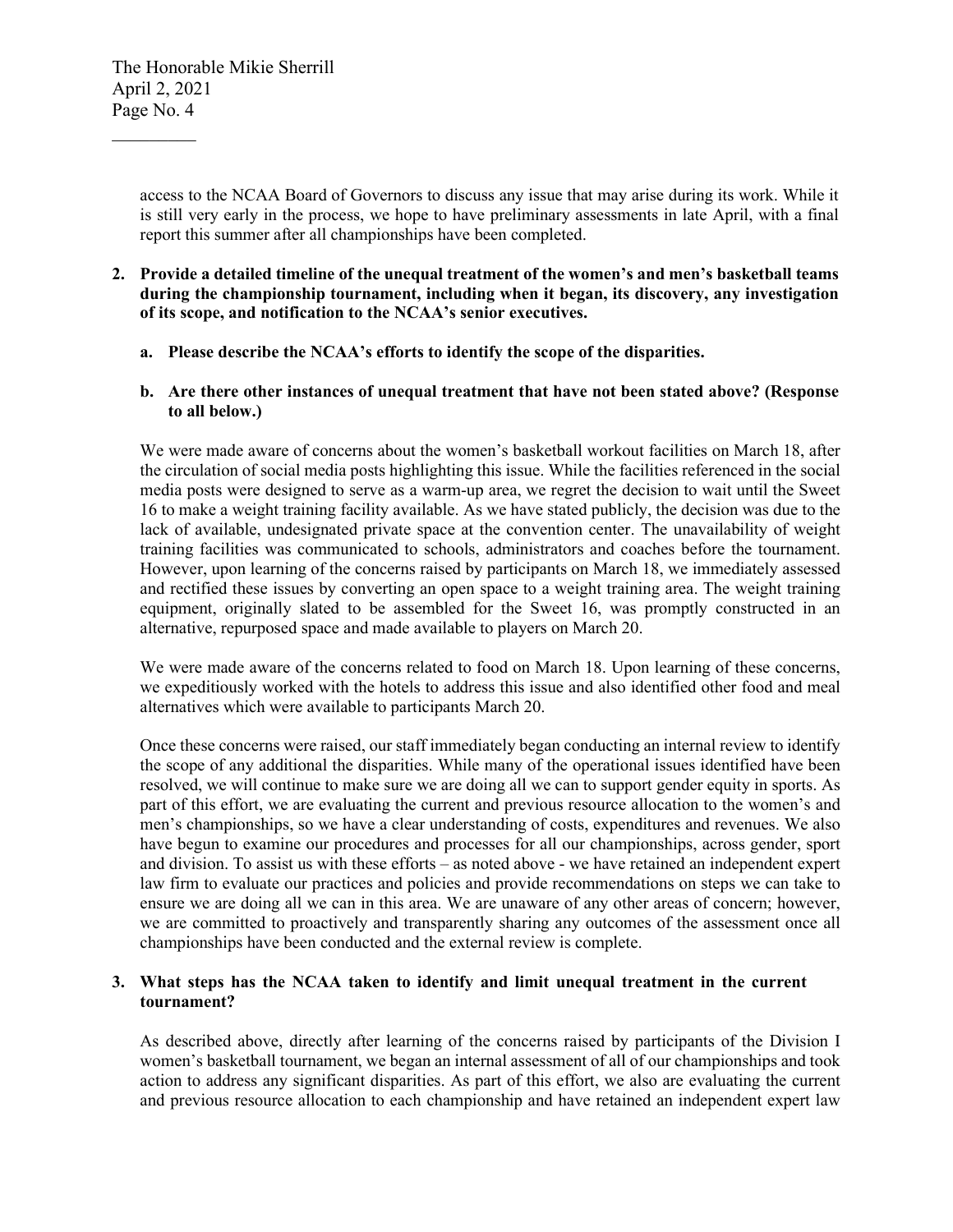$\mathcal{L}_\text{max}$ 

access to the NCAA Board of Governors to discuss any issue that may arise during its work. While it is still very early in the process, we hope to have preliminary assessments in late April, with a final report this summer after all championships have been completed.

- **2. Provide a detailed timeline of the unequal treatment of the women's and men's basketball teams during the championship tournament, including when it began, its discovery, any investigation of its scope, and notification to the NCAA's senior executives.**
	- **a. Please describe the NCAA's efforts to identify the scope of the disparities.**
	- **b. Are there other instances of unequal treatment that have not been stated above? (Response to all below.)**

We were made aware of concerns about the women's basketball workout facilities on March 18, after the circulation of social media posts highlighting this issue. While the facilities referenced in the social media posts were designed to serve as a warm-up area, we regret the decision to wait until the Sweet 16 to make a weight training facility available. As we have stated publicly, the decision was due to the lack of available, undesignated private space at the convention center. The unavailability of weight training facilities was communicated to schools, administrators and coaches before the tournament. However, upon learning of the concerns raised by participants on March 18, we immediately assessed and rectified these issues by converting an open space to a weight training area. The weight training equipment, originally slated to be assembled for the Sweet 16, was promptly constructed in an alternative, repurposed space and made available to players on March 20.

We were made aware of the concerns related to food on March 18. Upon learning of these concerns, we expeditiously worked with the hotels to address this issue and also identified other food and meal alternatives which were available to participants March 20.

Once these concerns were raised, our staff immediately began conducting an internal review to identify the scope of any additional the disparities. While many of the operational issues identified have been resolved, we will continue to make sure we are doing all we can to support gender equity in sports. As part of this effort, we are evaluating the current and previous resource allocation to the women's and men's championships, so we have a clear understanding of costs, expenditures and revenues. We also have begun to examine our procedures and processes for all our championships, across gender, sport and division. To assist us with these efforts – as noted above - we have retained an independent expert law firm to evaluate our practices and policies and provide recommendations on steps we can take to ensure we are doing all we can in this area. We are unaware of any other areas of concern; however, we are committed to proactively and transparently sharing any outcomes of the assessment once all championships have been conducted and the external review is complete.

# **3. What steps has the NCAA taken to identify and limit unequal treatment in the current tournament?**

As described above, directly after learning of the concerns raised by participants of the Division I women's basketball tournament, we began an internal assessment of all of our championships and took action to address any significant disparities. As part of this effort, we also are evaluating the current and previous resource allocation to each championship and have retained an independent expert law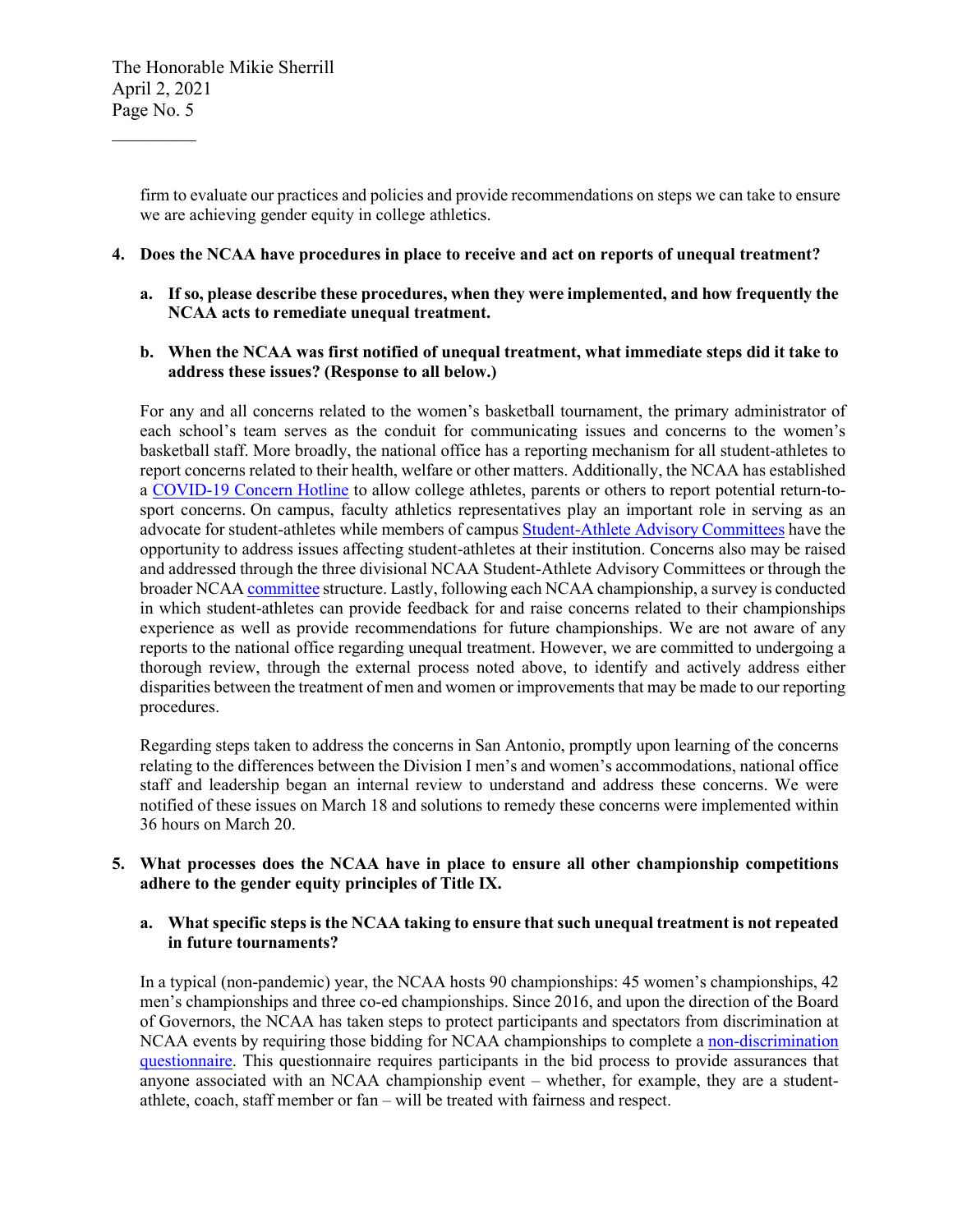$\mathcal{L}_\text{max}$ 

firm to evaluate our practices and policies and provide recommendations on steps we can take to ensure we are achieving gender equity in college athletics.

#### **4. Does the NCAA have procedures in place to receive and act on reports of unequal treatment?**

**a. If so, please describe these procedures, when they were implemented, and how frequently the NCAA acts to remediate unequal treatment.** 

## **b. When the NCAA was first notified of unequal treatment, what immediate steps did it take to address these issues? (Response to all below.)**

For any and all concerns related to the women's basketball tournament, the primary administrator of each school's team serves as the conduit for communicating issues and concerns to the women's basketball staff. More broadly, the national office has a reporting mechanism for all student-athletes to report concerns related to their health, welfare or other matters. Additionally, the NCAA has established a [COVID-19 Concern Hotline](https://www.ncaa.org/sport-science-institute/covid-19-concern-hotline#:%7E:text=If%20you%20are%20aware%20of,brief%20summary%20of%20the%20concern.) to allow college athletes, parents or others to report potential return-tosport concerns. On campus, faculty athletics representatives play an important role in serving as an advocate for student-athletes while members of campu[s Student-Athlete Advisory Committees](https://www.ncaa.org/student-athletes/ncaa-student-athlete-advisory-committees-saacs) have the opportunity to address issues affecting student-athletes at their institution. Concerns also may be raised and addressed through the three divisional NCAA Student-Athlete Advisory Committees or through the broader NCAA [committee](https://www.ncaa.org/governance/committees) structure. Lastly, following each NCAA championship, a survey is conducted in which student-athletes can provide feedback for and raise concerns related to their championships experience as well as provide recommendations for future championships. We are not aware of any reports to the national office regarding unequal treatment. However, we are committed to undergoing a thorough review, through the external process noted above, to identify and actively address either disparities between the treatment of men and women or improvements that may be made to our reporting procedures.

Regarding steps taken to address the concerns in San Antonio, promptly upon learning of the concerns relating to the differences between the Division I men's and women's accommodations, national office staff and leadership began an internal review to understand and address these concerns. We were notified of these issues on March 18 and solutions to remedy these concerns were implemented within 36 hours on March 20.

## **5. What processes does the NCAA have in place to ensure all other championship competitions adhere to the gender equity principles of Title IX.**

## **a. What specific steps is the NCAA taking to ensure that such unequal treatment is not repeated in future tournaments?**

In a typical (non-pandemic) year, the NCAA hosts 90 championships: 45 women's championships, 42 men's championships and three co-ed championships. Since 2016, and upon the direction of the Board of Governors, the NCAA has taken steps to protect participants and spectators from discrimination at NCAA events by requiring those bidding for NCAA championships to complete a non-discrimination [questionnaire.](https://www.ncaa.org/sites/default/files/NON-DISCRIMINATION_QUESTIONNAIRE_20160722.pdf) This questionnaire requires participants in the bid process to provide assurances that anyone associated with an NCAA championship event – whether, for example, they are a studentathlete, coach, staff member or fan – will be treated with fairness and respect.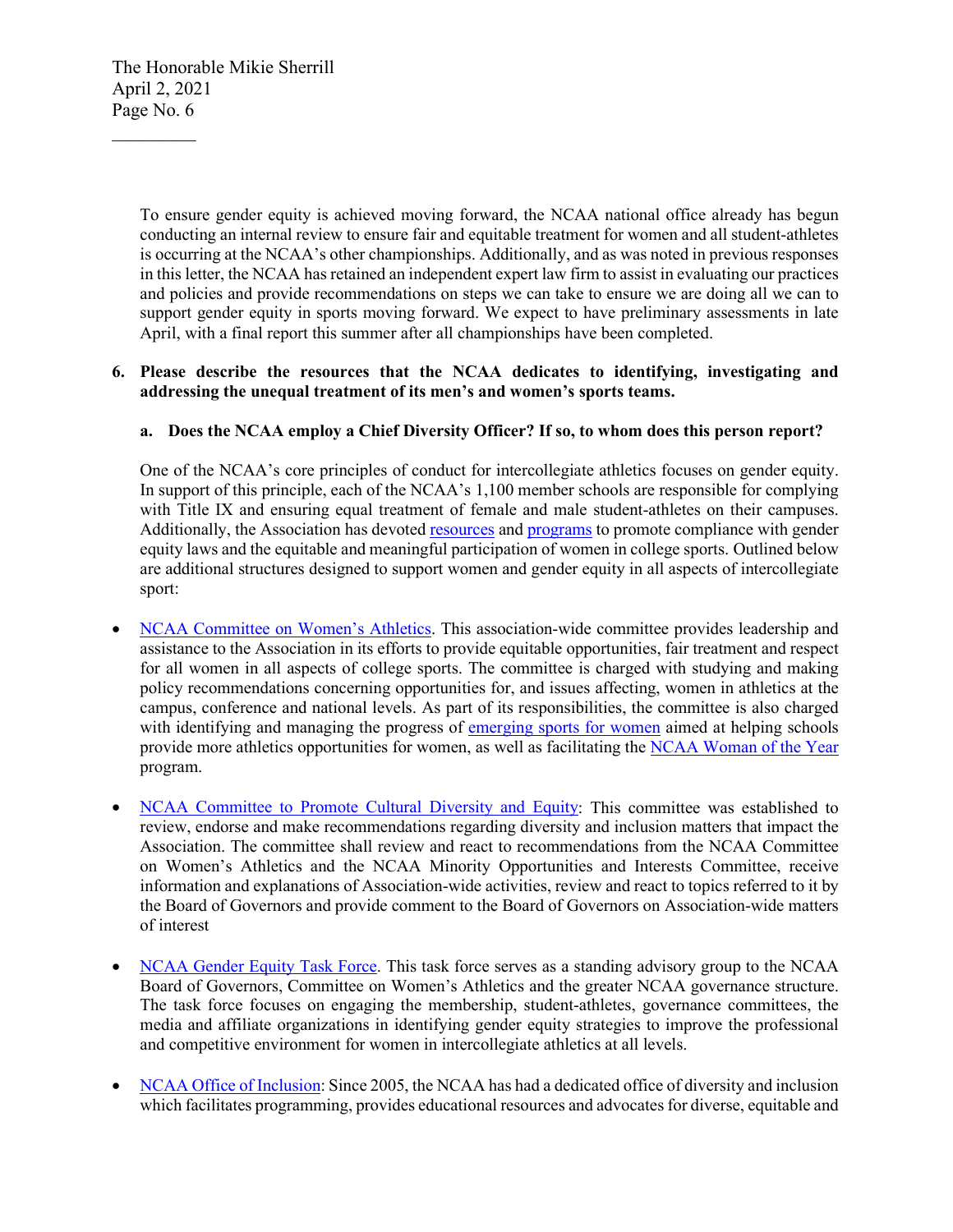The Honorable Mikie Sherrill April 2, 2021 Page No. 6

 $\mathcal{L}_\text{max}$ 

To ensure gender equity is achieved moving forward, the NCAA national office already has begun conducting an internal review to ensure fair and equitable treatment for women and all student-athletes is occurring at the NCAA's other championships. Additionally, and as was noted in previous responses in this letter, the NCAA has retained an independent expert law firm to assist in evaluating our practices and policies and provide recommendations on steps we can take to ensure we are doing all we can to support gender equity in sports moving forward. We expect to have preliminary assessments in late April, with a final report this summer after all championships have been completed.

# **6. Please describe the resources that the NCAA dedicates to identifying, investigating and addressing the unequal treatment of its men's and women's sports teams.**

# **a. Does the NCAA employ a Chief Diversity Officer? If so, to whom does this person report?**

One of the NCAA's core principles of conduct for intercollegiate athletics focuses on gender equity. In support of this principle, each of the NCAA's 1,100 member schools are responsible for complying with Title IX and ensuring equal treatment of female and male student-athletes on their campuses. Additionally, the Association has devoted [resources](https://www.ncaa.org/about/resources/inclusion/gender-equity-and-title-ix) and [programs](https://www.ncaa.org/ethnic-minority-and-women-s-enhancement-graduate-scholarship) to promote compliance with gender equity laws and the equitable and meaningful participation of women in college sports. Outlined below are additional structures designed to support women and gender equity in all aspects of intercollegiate sport:

- [NCAA Committee on Women's Athletics.](https://www.ncaa.org/governance/committees/committee-womens-athletics) This association-wide committee provides leadership and assistance to the Association in its efforts to provide equitable opportunities, fair treatment and respect for all women in all aspects of college sports. The committee is charged with studying and making policy recommendations concerning opportunities for, and issues affecting, women in athletics at the campus, conference and national levels. As part of its responsibilities, the committee is also charged with identifying and managing the progress of [emerging sports for women](https://www.ncaa.org/about/resources/inclusion/emerging-sports-women) aimed at helping schools provide more athletics opportunities for women, as well as facilitating the [NCAA Woman of the Year](https://www.ncaa.org/about/resources/events/ncaa-woman-year) program.
- [NCAA Committee to Promote Cultural Diversity and Equity:](https://www.ncaa.org/governance/committees/board-governors-committee-promote-cultural-diversity-and-equity#:%7E:text=The%20Committee%20to%20Promote%20Cultural,matters%20that%20impact%20the%20Association) This committee was established to review, endorse and make recommendations regarding diversity and inclusion matters that impact the Association. The committee shall review and react to recommendations from the NCAA Committee on Women's Athletics and the NCAA Minority Opportunities and Interests Committee, receive information and explanations of Association-wide activities, review and react to topics referred to it by the Board of Governors and provide comment to the Board of Governors on Association-wide matters of interest
- [NCAA Gender Equity Task Force.](https://www.ncaa.org/governance/committees/gender-equity-task-force) This task force serves as a standing advisory group to the NCAA Board of Governors, Committee on Women's Athletics and the greater NCAA governance structure. The task force focuses on engaging the membership, student-athletes, governance committees, the media and affiliate organizations in identifying gender equity strategies to improve the professional and competitive environment for women in intercollegiate athletics at all levels.
- [NCAA Office of Inclusion:](https://www.ncaa.org/about/resources/inclusion) Since 2005, the NCAA has had a dedicated office of diversity and inclusion which facilitates programming, provides educational resources and advocates for diverse, equitable and